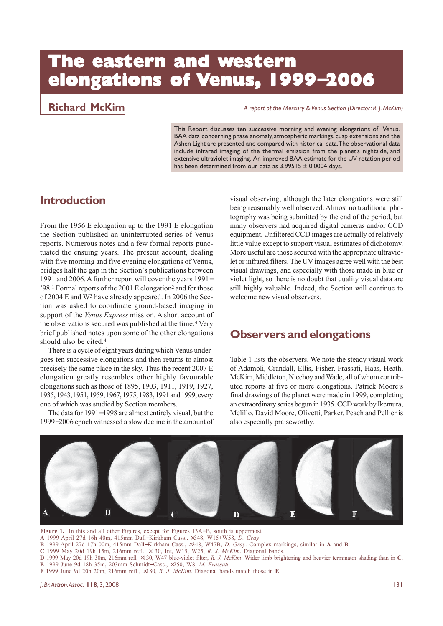# **The eastern and western elongations of tions of tions of Venus, 1999**−**2006**

**Richard McKim** *A report of the Mercury & Venus Section (Director: R. J. McKim)*

This Report discusses ten successive morning and evening elongations of Venus. BAA data concerning phase anomaly, atmospheric markings, cusp extensions and the Ashen Light are presented and compared with historical data. The observational data include infrared imaging of the thermal emission from the planet's nightside, and extensive ultraviolet imaging. An improved BAA estimate for the UV rotation period has been determined from our data as  $3.99515 \pm 0.0004$  days.

### **Introduction**

From the 1956 E elongation up to the 1991 E elongation the Section published an uninterrupted series of Venus reports. Numerous notes and a few formal reports punctuated the ensuing years. The present account, dealing with five morning and five evening elongations of Venus, bridges half the gap in the Section's publications between 1991 and 2006. A further report will cover the years 1991− '98.1 Formal reports of the 2001 E elongation2 and for those of 2004 E and W3 have already appeared. In 2006 the Section was asked to coordinate ground-based imaging in support of the *Venus Express* mission. A short account of the observations secured was published at the time.<sup>4</sup> Very brief published notes upon some of the other elongations should also be cited.4

There is a cycle of eight years during which Venus undergoes ten successive elongations and then returns to almost precisely the same place in the sky. Thus the recent 2007 E elongation greatly resembles other highly favourable elongations such as those of 1895, 1903, 1911, 1919, 1927, 1935, 1943, 1951, 1959, 1967, 1975, 1983, 1991 and 1999, every one of which was studied by Section members.

The data for 1991−1998 are almost entirely visual, but the 1999−2006 epoch witnessed a slow decline in the amount of visual observing, although the later elongations were still being reasonably well observed. Almost no traditional photography was being submitted by the end of the period, but many observers had acquired digital cameras and/or CCD equipment. Unfiltered CCD images are actually of relatively little value except to support visual estimates of dichotomy. More useful are those secured with the appropriate ultraviolet or infrared filters. The UV images agree well with the best visual drawings, and especially with those made in blue or violet light, so there is no doubt that quality visual data are still highly valuable. Indeed, the Section will continue to welcome new visual observers.

## **Observers and elongations**

Table 1 lists the observers. We note the steady visual work of Adamoli, Crandall, Ellis, Fisher, Frassati, Haas, Heath, McKim, Middleton, Niechoy and Wade, all of whom contributed reports at five or more elongations. Patrick Moore's final drawings of the planet were made in 1999, completing an extraordinary series begun in 1935. CCD work by Ikemura, Melillo, David Moore, Olivetti, Parker, Peach and Pellier is also especially praiseworthy.



**Figure 1.** In this and all other Figures, except for Figures 13A−B, south is uppermost.

**A** 1999 April 27d 16h 40m, 415mm Dall−Kirkham Cass., ×348, W15+W58, *D. Gray*.

**B** 1999 April 27d 17h 00m, 415mm Dall−Kirkham Cass., ×348, W47B, *D. Gray*. Complex markings, similar in **A** and **B**.

**C** 1999 May 20d 19h 15m, 216mm refl., ×130, Int, W15, W25, *R. J. McKim*. Diagonal bands.

**D** 1999 May 20d 19h 30m, 216mm refl. ×130, W47 blue-violet filter, *R. J. McKim*. Wider limb brightening and heavier terminator shading than in **C**. **E** 1999 June 9d 18h 35m, 203mm Schmidt−Cass., ×250, W8, *M. Frassati*.

**F** 1999 June 9d 20h 20m, 216mm refl., ×180, *R. J. McKim*. Diagonal bands match those in **E**.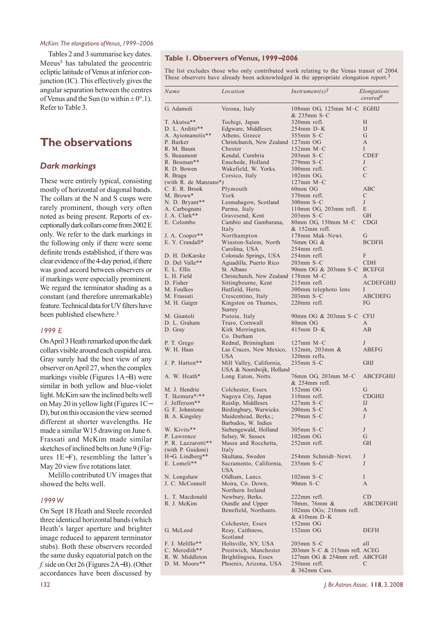Tables 2 and 3 summarise key dates. Meeus<sup>5</sup> has tabulated the geocentric ecliptic latitude of Venus at inferior conjunction (IC). This effectively gives the angular separation between the centres of Venus and the Sun (to within  $\pm 0^{\circ}$ .1). Refer to Table 3.

### **The observations**

#### *Dark markings*

These were entirely typical, consisting mostly of horizontal or diagonal bands. The collars at the N and S cusps were rarely prominent, though very often noted as being present. Reports of exceptionally dark collars come from 2002 E only. We refer to the dark markings in the following only if there were some definite trends established, if there was clear evidence of the 4-day period, if there was good accord between observers or if markings were especially prominent. We regard the terminator shading as a constant (and therefore unremarkable) feature. Technical data for UV filters have been published elsewhere.3

#### *1999 E*

On April 3 Heath remarked upon the dark collars visible around each cuspidal area. Gray surely had the best view of any observer on April 27, when the complex markings visible (Figures 1A−B) were similar in both yellow and blue-violet light. McKim saw the inclined belts well on May 20 in yellow light (Figures 1C− D), but on this occasion the view seemed different at shorter wavelengths. He made a similar W15 drawing on June 6. Frassati and McKim made similar sketches of inclined belts on June 9 (Figures 1E−F), resembling the latter's May 20 view five rotations later.

Melillo contributed UV images that showed the belts well.

#### *1999 W*

On Sept 18 Heath and Steele recorded three identical horizontal bands (which Heath's larger aperture and brighter image reduced to apparent terminator stubs). Both these observers recorded the same dusky equatorial patch on the *f.* side on Oct 26 (Figures 2A−B). (Other accordances have been discussed by

#### **Table 1. Observers of Venus, 1999**−**2006**

The list excludes those who only contributed work relating to the Venus transit of 2004. These observers have already been acknowledged in the appropriate elongation report.<sup>3</sup>

| Name                             | Location                                        | Instrument(s) $\sqrt{$}$                     | Elongations<br>covered#       |
|----------------------------------|-------------------------------------------------|----------------------------------------------|-------------------------------|
| G. Adamoli                       | Verona, Italy                                   | 108mm OG, 125mm M-C EGHIJ<br>& 235mm S–C     |                               |
| T. Akutsu**                      | Tochigi, Japan                                  | 320mm refl.                                  | Н                             |
| D. L. Arditti**                  | Edgware, Middlesex                              | $254$ mm D-K                                 | $_{\rm{IJ}}$                  |
| A. Ayiomamitis**                 | Athens, Greece                                  | $355$ mm S-C                                 | G                             |
| P. Barker                        | Christchurch, New Zealand 127mm OG              |                                              | A                             |
| R. M. Baum                       | Chester                                         | $152$ mm M-C                                 | L                             |
| S. Beaumont                      | Kendal, Cumbria                                 | $203$ mm S-C                                 | <b>CDEF</b>                   |
| R. Bosman**                      | Enschede, Holland                               | 279mm S-C                                    | J                             |
| R. D. Bowen<br>R. Braga          | Wakefield, W. Yorks.                            | 300mm refl.<br>$102mm$ OG,                   | C<br>C                        |
| (with R. de Manzano*)            | Corsico, Italy                                  | $127$ mm M-C                                 |                               |
| C. E. R. Brook                   | Plymouth                                        | $60$ mm $OG$                                 | ABC                           |
| M. Brown*                        | York                                            | 370mm refl.                                  | C                             |
| N. D. Bryant**                   | Lesmahagow, Scotland                            | 300mm S–C                                    | J                             |
| A. Carbognani                    | Parma, Italy                                    | $110mm$ OG, $203mm$ refl.                    | E                             |
| J. A. Clark**                    | Gravesend, Kent                                 | 203mm S-C                                    | <b>GH</b>                     |
| E. Colombo                       | Cambio and Gambarana,                           | 80mm OG, 150mm M-C                           | <b>CDGI</b>                   |
|                                  | Italy                                           | & 152mm refl.                                |                               |
| J. A. Cooper**                   | Northampton                                     | 178mm Mak-Newt.                              | G                             |
| E. Y. Crandall*                  | Winston-Salem, North                            | 76mm OG &                                    | <b>BCDFH</b>                  |
|                                  | Carolina, USA                                   | $254$ mm refl.                               |                               |
| D. H. DeKarske<br>D. Del Valle** | Colorado Springs, USA<br>Aguadilla, Puerto Rico | 254mm refl.<br>$203$ mm S-C                  | F<br><b>CDH</b>               |
| E. L. Ellis                      | St. Albans                                      | 90mm OG & 203mm S–C                          | <b>BCEFGI</b>                 |
| L. H. Field                      | Christchurch, New Zealand 178mm M-C             |                                              | A                             |
| D. Fisher                        | Sittingbourne, Kent                             | $215$ mm refl.                               | ACDEFGHIJ                     |
| M. Foulkes                       | Hatfield, Herts.                                | 300mm telephoto lens                         | Ι                             |
| M. Frassati                      | Crescentino, Italy                              | $203$ mm S-C                                 | ABCDEFG                       |
| M. H. Gaiger                     | Kingston on Thames,<br>Surrey                   | 220mm refl.                                  | FG                            |
| M. Giuntoli                      | Pistoia, Italy                                  | 90mm OG & 203mm S-C                          | <b>CFIJ</b>                   |
| D. L. Graham                     | Truro, Cornwall                                 | 80mm OG                                      | A                             |
| D. Gray                          | Kirk Merrington,<br>Co. Durham                  | 415mm D–K                                    | AB                            |
| P. T. Grego                      | Rednal, Brimingham                              | $127$ mm M-C                                 | J                             |
| W. H. Haas                       | Las Cruces, New Mexico,                         | $152$ mm, 203mm &                            | ABEFG                         |
| J. P. Hatton**                   | USA<br>Mill Valley, California,                 | 320mm refls.<br>$235$ mm S-C                 | <b>GHJ</b>                    |
| A. W. Heath*                     | USA & Noordwijk, Holland<br>Long Eaton, Notts.  | 76mm OG, 203mm M-C                           | ABCEFGHIJ                     |
|                                  |                                                 | & 254mm refl.                                |                               |
| M. J. Hendrie                    | Colchester, Essex                               | $152mm$ OG                                   | G                             |
| T. Ikemura*/**<br>J. Jefferson** | Nagoya City, Japan<br>Ruislip, Middlesex        | 310mm refl.<br>$127$ mm S-C                  | <b>CDGHIJ</b><br>$_{\rm{IJ}}$ |
| G. F. Johnstone                  | Birdingbury, Warwicks.                          | $200$ mm S $-C$                              | A                             |
| B. A. Kingsley                   | Maidenhead, Berks.;                             | $279$ mm S-C                                 | J                             |
|                                  | Barbados, W. Indies                             |                                              |                               |
| W. Kivits**                      | Siebengewald, Holland                           | $305$ mm S-C                                 | J                             |
| P. Lawrence                      | Selsey, W. Sussex                               | $102mm$ OG                                   | G                             |
| P. R. Lazzarotti**               | Massa and Rocchetta.                            | 252mm refl.                                  | <b>GH</b>                     |
| (with P. Guidoni)                | Italy                                           |                                              |                               |
| H-G. Lindberg**                  | Skultana, Sweden                                | 254mm Schmidt–Newt.                          | J                             |
| E. Lomeli**                      | Sacramento, California,<br>USA                  | $235$ mm S-C                                 | J                             |
| N. Longshaw                      | Oldham, Lancs.                                  | $102$ mm S-C                                 | L                             |
| J. C. McConnell                  | Moira, Co. Down,<br>Northern Ireland            | $90 \text{mm}$ S-C                           | A                             |
| L. T. Macdonald                  | Newbury, Berks.                                 | 222mm refl.                                  | CD                            |
| R. J. McKim                      | Oundle and Upper                                | 70mm, 76mm &                                 | ABCDEFGHI                     |
|                                  | Benefield, Northants.                           | $102mm$ OGs; $216mm$ refl.<br>& 410mm D-K    |                               |
|                                  | Colchester, Essex                               | $152mm$ OG                                   |                               |
| G. McLeod                        | Reay, Caithness,                                | $152mm$ OG                                   | <b>DEFH</b>                   |
|                                  | Scotland                                        |                                              |                               |
| F. J. Melillo**                  | Holtsville, NY, USA                             | $203$ mm S-C                                 | all                           |
| C. Meredith**                    | Prestwich, Manchester                           | 203mm S–C & 215mm refl. ACEG                 |                               |
| R. W. Middleton<br>D. M. Moore** | Brightlingsea, Essex                            | 127mm OG & 254mm refl. ABCFGH<br>250mm refl. | C                             |
|                                  | Phoenix, Arizona, USA                           | & 362mm Cass.                                |                               |
|                                  |                                                 |                                              |                               |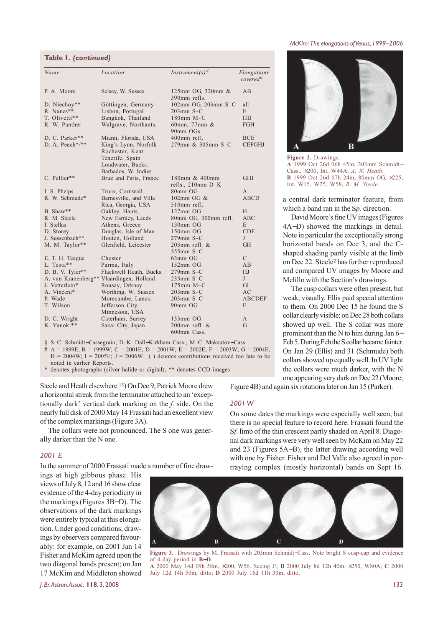| Table I. (continued) |
|----------------------|
|                      |

| Name                                     | Location                                                                                               | Instrument(s) $\sqrt{$}$             | Elongations<br>covered <sup>#</sup> |
|------------------------------------------|--------------------------------------------------------------------------------------------------------|--------------------------------------|-------------------------------------|
| P. A. Moore                              | Selsey, W. Sussex                                                                                      | 125mm OG, 320mm &<br>390mm refls.    | AВ                                  |
| D. Niechoy**                             | Göttingen, Germany                                                                                     | 102mm OG, 203mm S-C                  | all                                 |
| R. Nunes**                               | Lisbon, Portugal                                                                                       | $203$ mm S-C                         | E                                   |
| T. Olivetti**                            | Bangkok, Thailand                                                                                      | $180$ mm M-C                         | <b>HIJ</b>                          |
| R. W. Panther                            | Walgrave, Northants.                                                                                   | 60mm, 77mm &<br>90mm OGs             | FGH                                 |
| D. C. Parker**                           | Miami, Florida, USA                                                                                    | 400mm refl.                          | <b>BCE</b>                          |
| D. A. Peach*/**                          | King's Lynn, Norfolk<br>Rochester, Kent<br>Tenerife, Spain<br>Loudwater, Bucks.<br>Barbados, W. Indies | 279mm & 305mm S-C                    | <b>CEFGHJ</b>                       |
| C. Pellier**                             | Bruz and Paris, France                                                                                 | 180mm & 400mm<br>refls., $210mm$ D-K | GHI                                 |
| I. S. Phelps                             | Truro, Cornwall                                                                                        | 80mm OG                              | A                                   |
| R. W. Schmude*                           | Barnesville, and Villa                                                                                 | 102mm OG $&$                         | <b>ABCD</b>                         |
|                                          | Rica, Georgia, USA                                                                                     | 510mm refl.                          |                                     |
| B. Shaw**                                | Oakley, Hants.                                                                                         | $127$ mm OG                          | H                                   |
| R. M. Steele                             | New Farnley, Leeds                                                                                     | 80mm OG, 300mm refl.                 | <b>ABC</b>                          |
| I. Stellas                               | Athens, Greece                                                                                         | 130mm OG                             | E                                   |
| D. Storey                                | Douglas, Isle of Man                                                                                   | 150mm OG                             | <b>CDE</b>                          |
| J. Sussenbach**                          | Houten, Holland                                                                                        | $279$ mm S-C                         | J                                   |
| M. M. Taylor**                           | Glenfield, Leicester                                                                                   | $203$ mm refl. $&$                   | <b>GH</b>                           |
|                                          |                                                                                                        | $355$ mm S-C                         |                                     |
| E. T. H. Teague                          | Chester                                                                                                | 63mm OG                              | C                                   |
| L. Testa**                               | Parma, Italy                                                                                           | $152mm$ OG                           | AB                                  |
| D. B. V. Tyler**                         | Flackwell Heath, Bucks.                                                                                | $279$ mm S-C                         | HJ                                  |
| A. van Kranenberg** Vlaardingen, Holland |                                                                                                        | $235$ mm S-C                         | J                                   |
| J. Vetterlein*                           | Rousay, Orkney                                                                                         | $175$ mm M-C                         | GI                                  |
| A. Vincent*                              | Worthing, W. Sussex                                                                                    | $203$ mm S-C                         | AC                                  |
| P. Wade                                  | Morecambe, Lancs.                                                                                      | $203$ mm S-C                         | <b>ABCDEF</b>                       |
| T. Wilson                                | Jefferson City,<br>Minnesota, USA                                                                      | 90mm OG                              | E                                   |
| D. C. Wright                             | Caterham, Surrey                                                                                       | $133mm$ OG                           | A                                   |
| K. Yunoki**                              | Sakai City, Japan                                                                                      | $200$ mm refl. $&$<br>600mm Cass.    | G                                   |

§ S–C: Schmidt−Cassegrain; D–K: Dall−Kirkham Cass.; M–C: Maksutov−Cass.

**#** A = 1999E; B = 1999W; C = 2001E; D = 2001W; E = 2002E; F = 2003W; G = 2004E;  $H = 2004W$ ;  $I = 2005E$ ;  $J = 2006W$ . () denotes contributions received too late to be noted in earlier Reports.

denotes photographs (silver halide or digital); \*\* denotes CCD images

Steele and Heath elsewhere.15) On Dec 9, Patrick Moore drew a horizontal streak from the terminator attached to an 'exceptionally dark' vertical dark marking on the *f.* side. On the nearly full disk of 2000 May 14 Frassati had an excellent view of the complex markings (Figure 3A).

The collars were not pronounced. The S one was generally darker than the N one.

#### *2001 E*

In the summer of 2000 Frassati made a number of fine draw-

ings at high gibbous phase. His views of July 8, 12 and 16 show clear evidence of the 4-day periodicity in the markings (Figures 3B−D). The observations of the dark markings were entirely typical at this elongation. Under good conditions, drawings by observers compared favourably: for example, on 2001 Jan 14 Fisher and McKim agreed upon the two diagonal bands present; on Jan 17 McKim and Middleton showed

**Figure 2.** Drawings. **A** 1999 Oct 26d 06h 45m, 203mm Schmidt− Cass., ×200, Int, W44A, *A. W. Heath*. **B** 1999 Oct 26d 07h 24m, 80mm OG, ×225, Int, W15, W25, W58, *R. M. Steele*.

 $\bf{B}$ 

a central dark terminator feature, from which a band ran in the S*p.* direction.

David Moore's fine UV images (Figures 4A−D) showed the markings in detail. Note in particular the exceptionally strong horizontal bands on Dec 3, and the Cshaped shading partly visible at the limb on Dec 22. Steele2 has further reproduced and compared UV images by Moore and Melillo with the Section's drawings.

The cusp collars were often present, but weak, visually. Ellis paid special attention to them. On 2000 Dec 15 he found the S collar clearly visible; on Dec 28 both collars showed up well. The S collar was more prominent than the N to him during Jan 6− Feb 5. During Feb the S collar became fainter. On Jan 29 (Ellis) and 31 (Schmude) both collars showed up equally well. In UV light the collars were much darker, with the N one appearing very dark on Dec 22 (Moore;

Figure 4B) and again six rotations later on Jan 15 (Parker).

#### *2001 W*

On some dates the markings were especially well seen, but there is no special feature to record here. Frassati found the S*f*. limb of the thin crescent partly shaded on April 8. Diagonal dark markings were very well seen by McKim on May 22 and 23 (Figures 5A−B), the latter drawing according well with one by Fisher. Fisher and Del Valle also agreed in portraying complex (mostly horizontal) bands on Sept 16.



**Figure 3.** Drawings by M. Frassati with 203mm Schmidt−Cass. Note bright S cusp-cap and evidence of 4-day period in **B**−**D**.

**A** 2000 May 14d 09h 58m, ×200, W56. Seeing I!; **B** 2000 July 8d 12h 40m, ×250, W80A; **C** 2000 July 12d 14h 50m, ditto; **D** 2000 July 16d 11h 30m, ditto.

#### *McKim: The elongations of Venus, 1999–2006*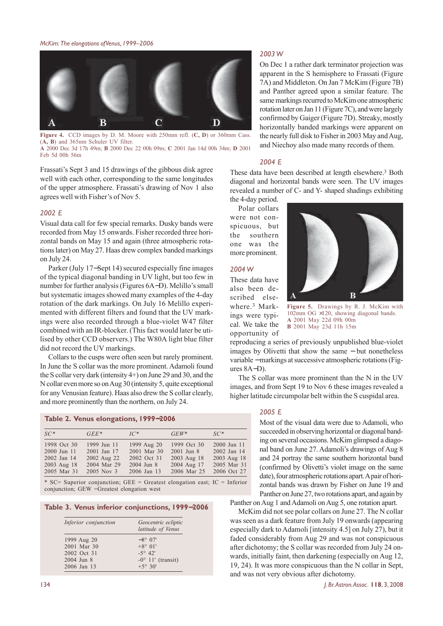

**Figure 4.** CCD images by D. M. Moore with 250mm refl. (**C, D**) or 360mm Cass. (**A, B**) and 365nm Schuler UV filter. **A** 2000 Dec 3d 17h 49m; **B** 2000 Dec 22 00h 09m; **C** 2001 Jan 14d 00h 34m; **D** 2001 Feb 5d 00h 56m

Frassati's Sept 3 and 15 drawings of the gibbous disk agree well with each other, corresponding to the same longitudes of the upper atmosphere. Frassati's drawing of Nov 1 also agrees well with Fisher's of Nov 5.

#### *2002 E*

Visual data call for few special remarks. Dusky bands were recorded from May 15 onwards. Fisher recorded three horizontal bands on May 15 and again (three atmospheric rotations later) on May 27. Haas drew complex banded markings on July 24.

Parker (July 17−Sept 14) secured especially fine images of the typical diagonal banding in UV light, but too few in number for further analysis (Figures 6A−D). Melillo's small but systematic images showed many examples of the 4-day rotation of the dark markings. On July 16 Melillo experimented with different filters and found that the UV markings were also recorded through a blue-violet W47 filter combined with an IR-blocker. (This fact would later be utilised by other CCD observers.) The W80A light blue filter did not record the UV markings.

Collars to the cusps were often seen but rarely prominent. In June the S collar was the more prominent. Adamoli found the S collar very dark (intensity 4+) on June 29 and 30, and the N collar even more so on Aug 30 (intensity 5, quite exceptional for any Venusian feature). Haas also drew the S collar clearly, and more prominently than the northern, on July 24.

#### **Table 2. Venus elongations, 1999**−**2006**

| $SC*$       | $GEE*$      | $IC^*$      | $GEW^*$        | $SC^*$      |
|-------------|-------------|-------------|----------------|-------------|
| 1998 Oct 30 | 1999 Jun 11 | 1999 Aug 20 | 1999 Oct 30    | 2000 Jun 11 |
| 2000 Jun 11 | 2001 Jan 17 | 2001 Mar 30 | $2001$ Jun $8$ | 2002 Jan 14 |
| 2002 Jan 14 | 2002 Aug 22 | 2002 Oct 31 | 2003 Aug 18    | 2003 Aug 18 |
| 2003 Aug 18 | 2004 Mar 29 | 2004 Jun 8  | 2004 Aug 17    | 2005 Mar 31 |
| 2005 Mar 31 | 2005 Nov 3  | 2006 Jan 13 | 2006 Mar 25    | 2006 Oct 27 |

\* SC= Superior conjunction; GEE = Greatest elongation east; IC = Inferior conjunction; GEW =Greatest elongation west

**Table 3. Venus inferior conjunctions, 1999**−**2006**

| Inferior conjunction | Geocentric ecliptic<br>latitude of Venus |
|----------------------|------------------------------------------|
| 1999 Aug 20          | $-8^{\circ}$ 07'                         |
| 2001 Mar 30          | $+8^{\circ} 01'$                         |
| 2002 Oct 31          | $-5^{\circ}$ 42'                         |
| 2004 Jun 8           | $-0^{\circ}$ 11' (transit)               |
| 2006 Jan 13          | $+5^{\circ} 30'$                         |

#### *2003 W*

On Dec 1 a rather dark terminator projection was apparent in the S hemisphere to Frassati (Figure 7A) and Middleton. On Jan 7 McKim (Figure 7B) and Panther agreed upon a similar feature. The same markings recurred to McKim one atmospheric rotation later on Jan 11 (Figure 7C), and were largely confirmed by Gaiger (Figure 7D). Streaky, mostly horizontally banded markings were apparent on the nearly full disk to Fisher in 2003 May and Aug, and Niechoy also made many records of them.

#### *2004 E*

These data have been described at length elsewhere.3 Both diagonal and horizontal bands were seen. The UV images revealed a number of C- and Y- shaped shadings exhibiting

the 4-day period. Polar collars were not conspicuous, but the southern one was the more prominent.

#### *2004 W*

These data have also been described elsewhere.3 Markings were typical. We take the opportunity of



**Figure 5.** Drawings by R. J. McKim with 102mm OG ×120, showing diagonal bands. **A** 2001 May 22d 09h 00m **B** 2001 May 23d 11h 15m

reproducing a series of previously unpublished blue-violet images by Olivetti that show the same − but nonetheless variable − markings at successive atmospheric rotations (Figures 8A−D).

The S collar was more prominent than the N in the UV images, and from Sept 19 to Nov 6 these images revealed a higher latitude circumpolar belt within the S cuspidal area.

#### *2005 E*

Most of the visual data were due to Adamoli, who succeeded in observing horizontal or diagonal banding on several occasions. McKim glimpsed a diagonal band on June 27. Adamoli's drawings of Aug 8 and 24 portray the same southern horizontal band (confirmed by Olivetti's violet image on the same date), four atmospheric rotations apart. A pair of horizontal bands was drawn by Fisher on June 19 and Panther on June 27, two rotations apart, and again by

Panther on Aug 1 and Adamoli on Aug 5, one rotation apart.

McKim did not see polar collars on June 27. The N collar was seen as a dark feature from July 19 onwards (appearing especially dark to Adamoli [intensity 4.5] on July 27), but it faded considerably from Aug 29 and was not conspicuous after dichotomy; the S collar was recorded from July 24 onwards, initially faint, then darkening (especially on Aug 12, 19, 24). It was more conspicuous than the N collar in Sept, and was not very obvious after dichotomy.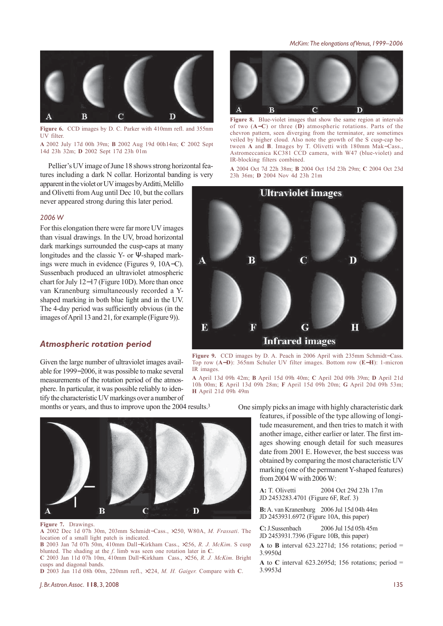*McKim: The elongations of Venus, 1999–2006*



**Figure 6.** CCD images by D. C. Parker with 410mm refl. and 355nm UV filter.

**A** 2002 July 17d 00h 39m; **B** 2002 Aug 19d 00h14m; **C** 2002 Sept 14d 23h 32m; **D** 2002 Sept 17d 23h 01m

Pellier's UV image of June 18 shows strong horizontal features including a dark N collar. Horizontal banding is very

apparent in the violet or UV images by Arditti, Melillo and Olivetti from Aug until Dec 10, but the collars never appeared strong during this later period.

#### *2006 W*

For this elongation there were far more UV images than visual drawings. In the UV, broad horizontal dark markings surrounded the cusp-caps at many longitudes and the classic Y- or Ψ-shaped markings were much in evidence (Figures 9, 10A−C). Sussenbach produced an ultraviolet atmospheric chart for July 12−17 (Figure 10D). More than once van Kranenburg simultaneously recorded a Yshaped marking in both blue light and in the UV. The 4-day period was sufficiently obvious (in the images of April 13 and 21, for example (Figure 9)).

#### *Atmospheric rotation period*

Given the large number of ultraviolet images available for 1999−2006, it was possible to make several measurements of the rotation period of the atmosphere. In particular, it was possible reliably to identify the characteristic UV markings over a number of

months or years, and thus to improve upon the 2004 results.<sup>3</sup>



**Figure 7.** Drawings.

**A** 2002 Dec 1d 07h 30m, 203mm Schmidt−Cass., ×250, W80A, *M. Frassati*. The location of a small light patch is indicated.

**B** 2003 Jan 7d 07h 50m, 410mm Dall−Kirkham Cass., ×256, *R. J. McKim*. S cusp blunted. The shading at the *f*. limb was seen one rotation later in **C**. **C** 2003 Jan 11d 07h 10m, 410mm Dall−Kirkham Cass., ×256, *R. J. McKim*. Bright

cusps and diagonal bands.

**D** 2003 Jan 11d 08h 00m, 220mm refl., ×224, *M. H. Gaiger.* Compare with **C**.

 $\overline{\mathbf{B}}$  $\overline{C}$  $\overline{\mathbf{D}}$ 

**Figure 8.** Blue-violet images that show the same region at intervals of two (**A**−**C**) or three (**D**) atmospheric rotations. Parts of the chevron pattern, seen diverging from the terminator, are sometimes veiled by higher cloud. Also note the growth of the S cusp-cap between **A** and **B**. Images by T. Olivetti with 180mm Mak−Cass., Astromeccanica KC381 CCD camera, with W47 (blue-violet) and IR-blocking filters combined.

**A** 2004 Oct 7d 22h 38m; **B** 2004 Oct 15d 23h 29m; **C** 2004 Oct 23d 23h 36m; **D** 2004 Nov 4d 23h 21m



**Figure 9.** CCD images by D. A. Peach in 2006 April with 235mm Schmidt−Cass. Top row (**A**−**D**): 365nm Schuler UV filter images. Bottom row (**E**−**H**): 1-micron IR images.

**A** April 13d 09h 42m; **B** April 15d 09h 40m; **C** April 20d 09h 39m; **D** April 21d 10h 00m; **E** April 13d 09h 28m; **F** April 15d 09h 20m; **G** April 20d 09h 53m; **H** April 21d 09h 49m

One simply picks an image with highly characteristic dark

features, if possible of the type allowing of longitude measurement, and then tries to match it with another image, either earlier or later. The first images showing enough detail for such measures date from 2001 E. However, the best success was obtained by comparing the most characteristic UV marking (one of the permanent Y-shaped features) from 2004 W with 2006 W:

**A:** T. Olivetti 2004 Oct 29d 23h 17m JD 2453283.4701 (Figure 6F, Ref. 3)

**B:** A. van Kranenburg 2006 Jul 15d 04h 44m JD 2453931.6972 (Figure 10A, this paper)

**C:** J.Sussenbach 2006 Jul 15d 05h 45m JD 2453931.7396 (Figure 10B, this paper)

**A** to **B** interval 623.2271d; 156 rotations; period  $=$ 3.9950d

**A** to **C** interval 623.2695d; 156 rotations; period = 3.9953d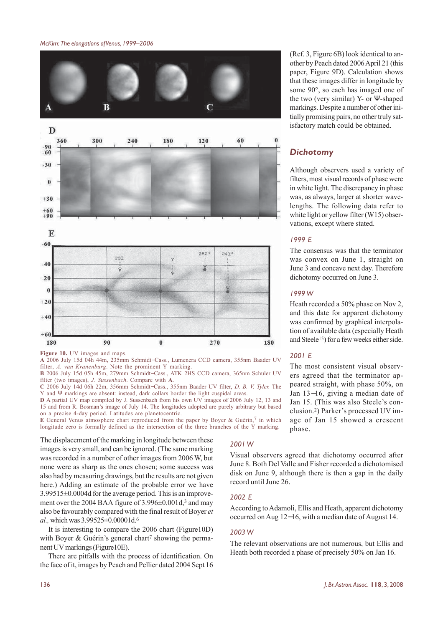

**Figure 10.** UV images and maps.

**A** 2006 July 15d 04h 44m, 235mm Schmidt−Cass., Lumenera CCD camera, 355nm Baader UV filter, *A. van Kranenburg*. Note the prominent Y marking.

**B** 2006 July 15d 05h 45m, 279mm Schmidt−Cass., ATK 2HS CCD camera, 365nm Schuler UV filter (two images), *J. Sussenbach*. Compare with **A**.

**C** 2006 July 14d 06h 22m, 356mm Schmidt−Cass., 355nm Baader UV filter, *D. B. V. Tyler.* The Y and Ψ markings are absent: instead, dark collars border the light cuspidal areas.

**D** A partial UV map compiled by J. Sussenbach from his own UV images of 2006 July 12, 13 and 15 and from R. Bosman's image of July 14. The longitudes adopted are purely arbitrary but based on a precise 4-day period. Latitudes are planetocentric.

**E** General Venus atmosphere chart reproduced from the paper by Boyer & Guérin,7 in which longitude zero is formally defined as the intersection of the three branches of the Y marking.

The displacement of the marking in longitude between these images is very small, and can be ignored. (The same marking was recorded in a number of other images from 2006 W, but none were as sharp as the ones chosen; some success was also had by measuring drawings, but the results are not given here.) Adding an estimate of the probable error we have 3.99515±0.0004d for the average period. This is an improvement over the 2004 BAA figure of 3.996±0.001d,3 and may also be favourably compared with the final result of Boyer *et al.,* which was 3.99525±0.00001d.6

It is interesting to compare the 2006 chart (Figure10D) with Boyer & Guérin's general chart<sup>7</sup> showing the permanent UV markings (Figure10E).

There are pitfalls with the process of identification. On the face of it, images by Peach and Pellier dated 2004 Sept 16

(Ref. 3, Figure 6B) look identical to another by Peach dated 2006 April 21 (this paper, Figure 9D). Calculation shows that these images differ in longitude by some 90°, so each has imaged one of the two (very similar) Y- or Ψ-shaped markings. Despite a number of other initially promising pairs, no other truly satisfactory match could be obtained.

#### *Dichotomy*

Although observers used a variety of filters, most visual records of phase were in white light. The discrepancy in phase was, as always, larger at shorter wavelengths. The following data refer to white light or yellow filter (W15) observations, except where stated.

#### *1999 E*

The consensus was that the terminator was convex on June 1, straight on June 3 and concave next day. Therefore dichotomy occurred on June 3.

#### *1999 W*

Heath recorded a 50% phase on Nov 2, and this date for apparent dichotomy was confirmed by graphical interpolation of available data (especially Heath and Steele15) for a few weeks either side.

#### *2001 E*

The most consistent visual observers agreed that the terminator appeared straight, with phase 50%, on Jan 13−16, giving a median date of Jan 15. (This was also Steele's conclusion.2) Parker's processed UV image of Jan 15 showed a crescent phase.

#### *2001 W*

Visual observers agreed that dichotomy occurred after June 8. Both Del Valle and Fisher recorded a dichotomised disk on June 9, although there is then a gap in the daily record until June 26.

#### *2002 E*

According to Adamoli, Ellis and Heath, apparent dichotomy occurred on Aug 12−16, with a median date of August 14.

#### *2003 W*

The relevant observations are not numerous, but Ellis and Heath both recorded a phase of precisely 50% on Jan 16.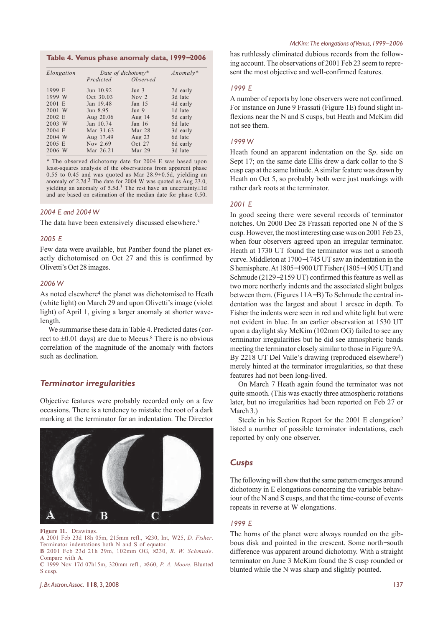**Table 4. Venus phase anomaly data, 1999**−**2006**

| Elongation | Date of dichotomy* |                  | $\text{Anomaly}^*$ |
|------------|--------------------|------------------|--------------------|
|            | Predicted          | <i>Observed</i>  |                    |
| 1999 E     | Jun 10.92          | Jun <sub>3</sub> | 7d early           |
| 1999 W     | Oct 30.03          | Nov $2$          | 3d late            |
| 2001 E     | Jan 19.48          | Jan $15$         | 4d early           |
| 2001 W     | Jun 8.95           | Jun <sub>9</sub> | 1d late            |
| 2002 E     | Aug 20.06          | Aug 14           | 5d early           |
| 2003 W     | Jan 10.74          | Jan $16$         | 6d late            |
| 2004 E     | Mar 31.63          | Mar $28$         | 3d early           |
| 2004 W     | Aug 17.49          | Aug 23           | 6d late            |
| $2005$ E   | Nov 2.69           | Oct 27           | 6d early           |
| 2006 W     | Mar 26.21          | Mar 29           | 3d late            |

\* The observed dichotomy date for 2004 E was based upon least-squares analysis of the observations from apparent phase 0.55 to 0.45 and was quoted as Mar  $28.9\pm0.5d$ , yielding an anomaly of  $2.7d<sup>3</sup>$ . The date for 2004 W was quoted as Aug  $23.0$ , yielding an anomaly of  $5.5d<sup>3</sup>$ . The rest have an uncertainty $\pm 1d$ and are based on estimation of the median date for phase 0.50.

#### *2004 E and 2004 W*

The data have been extensively discussed elsewhere.<sup>3</sup>

#### *2005 E*

Few data were available, but Panther found the planet exactly dichotomised on Oct 27 and this is confirmed by Olivetti's Oct 28 images.

#### *2006 W*

As noted elsewhere<sup>4</sup> the planet was dichotomised to Heath (white light) on March 29 and upon Olivetti's image (violet light) of April 1, giving a larger anomaly at shorter wavelength.

We summarise these data in Table 4. Predicted dates (correct to  $\pm 0.01$  days) are due to Meeus.<sup>8</sup> There is no obvious correlation of the magnitude of the anomaly with factors such as declination.

#### *Terminator irregularities*

Objective features were probably recorded only on a few occasions. There is a tendency to mistake the root of a dark marking at the terminator for an indentation. The Director



**Figure 11.** Drawings.

**A** 2001 Feb 23d 18h 05m, 215mm refl., ×230, Int, W25, *D. Fisher*. Terminator indentations both N and S of equator.

**B** 2001 Feb 23d 21h 29m, 102mm OG, ×230, *R. W. Schmude*. Compare with **A**.

**C** 1999 Nov 17d 07h15m, 320mm refl., ×360, *P. A. Moore*. Blunted S cusp.

has ruthlessly eliminated dubious records from the following account. The observations of 2001 Feb 23 seem to represent the most objective and well-confirmed features.

#### *1999 E*

A number of reports by lone observers were not confirmed. For instance on June 9 Frassati (Figure 1E) found slight inflexions near the N and S cusps, but Heath and McKim did not see them.

#### *1999 W*

Heath found an apparent indentation on the S*p*. side on Sept 17; on the same date Ellis drew a dark collar to the S cusp cap at the same latitude. A similar feature was drawn by Heath on Oct 5, so probably both were just markings with rather dark roots at the terminator.

#### *2001 E*

In good seeing there were several records of terminator notches. On 2000 Dec 28 Frassati reported one N of the S cusp. However, the most interesting case was on 2001 Feb 23, when four observers agreed upon an irregular terminator. Heath at 1730 UT found the terminator was not a smooth curve. Middleton at 1700−1745 UT saw an indentation in the S hemisphere. At 1805−1900 UT Fisher (1805−1905 UT) and Schmude (2129−2159 UT) confirmed this feature as well as two more northerly indents and the associated slight bulges between them. (Figures 11A−B) To Schmude the central indentation was the largest and about 1 arcsec in depth. To Fisher the indents were seen in red and white light but were not evident in blue. In an earlier observation at 1530 UT upon a daylight sky McKim (102mm OG) failed to see any terminator irregularities but he did see atmospheric bands meeting the terminator closely similar to those in Figure 9A. By 2218 UT Del Valle's drawing (reproduced elsewhere2) merely hinted at the terminator irregularities, so that these features had not been long-lived.

On March 7 Heath again found the terminator was not quite smooth. (This was exactly three atmospheric rotations later, but no irregularities had been reported on Feb 27 or March 3.)

Steele in his Section Report for the 2001 E elongation2 listed a number of possible terminator indentations, each reported by only one observer.

#### *Cusps*

The following will show that the same pattern emerges around dichotomy in E elongations concerning the variable behaviour of the N and S cusps, and that the time-course of events repeats in reverse at W elongations.

#### *1999 E*

The horns of the planet were always rounded on the gibbous disk and pointed in the crescent. Some north−south difference was apparent around dichotomy. With a straight terminator on June 3 McKim found the S cusp rounded or blunted while the N was sharp and slightly pointed.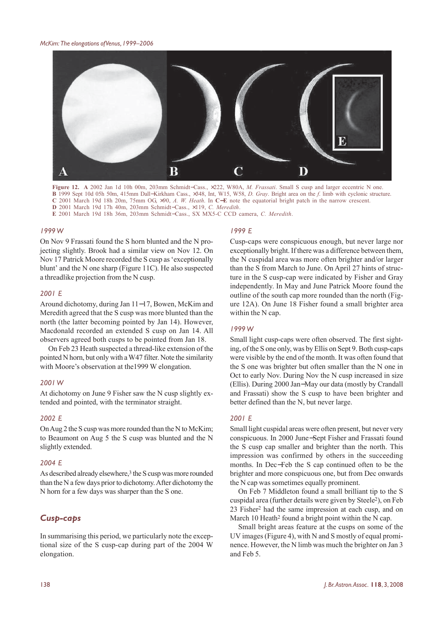

**Figure 12. A** 2002 Jan 1d 10h 00m, 203mm Schmidt−Cass., ×222, W80A, *M. Frassati*. Small S cusp and larger eccentric N one. **B** 1999 Sept 10d 05h 50m, 415mm Dall−Kirkham Cass., ×348, Int, W15, W58, *D. Gray*. Bright area on the *f*. limb with cyclonic structure. **C** 2001 March 19d 18h 20m, 75mm OG, ×90, *A. W. Heath*. In **C**−**E** note the equatorial bright patch in the narrow crescent. **D** 2001 March 19d 17h 40m, 203mm Schmidt−Cass., ×119, *C. Meredith*. **E** 2001 March 19d 18h 36m, 203mm Schmidt−Cass., SX MX5-C CCD camera, *C. Meredith*.

#### *1999 W*

On Nov 9 Frassati found the S horn blunted and the N projecting slightly. Brook had a similar view on Nov 12. On Nov 17 Patrick Moore recorded the S cusp as 'exceptionally blunt' and the N one sharp (Figure 11C). He also suspected a threadlike projection from the N cusp.

#### *2001 E*

Around dichotomy, during Jan 11−17, Bowen, McKim and Meredith agreed that the S cusp was more blunted than the north (the latter becoming pointed by Jan 14). However, Macdonald recorded an extended S cusp on Jan 14. All observers agreed both cusps to be pointed from Jan 18.

On Feb 23 Heath suspected a thread-like extension of the pointed N horn, but only with a W47 filter. Note the similarity with Moore's observation at the1999 W elongation.

#### *2001 W*

At dichotomy on June 9 Fisher saw the N cusp slightly extended and pointed, with the terminator straight.

#### *2002 E*

On Aug 2 the S cusp was more rounded than the N to McKim; to Beaumont on Aug 5 the S cusp was blunted and the N slightly extended.

#### *2004 E*

As described already elsewhere,<sup>3</sup> the S cusp was more rounded than the N a few days prior to dichotomy. After dichotomy the N horn for a few days was sharper than the S one.

### *Cusp-caps*

In summarising this period, we particularly note the exceptional size of the S cusp-cap during part of the 2004 W elongation.

#### *1999 E*

Cusp-caps were conspicuous enough, but never large nor exceptionally bright. If there was a difference between them, the N cuspidal area was more often brighter and/or larger than the S from March to June. On April 27 hints of structure in the S cusp-cap were indicated by Fisher and Gray independently. In May and June Patrick Moore found the outline of the south cap more rounded than the north (Figure 12A). On June 18 Fisher found a small brighter area within the N cap.

#### *1999 W*

Small light cusp-caps were often observed. The first sighting, of the S one only, was by Ellis on Sept 9. Both cusp-caps were visible by the end of the month. It was often found that the S one was brighter but often smaller than the N one in Oct to early Nov. During Nov the N cusp increased in size (Ellis). During 2000 Jan−May our data (mostly by Crandall and Frassati) show the S cusp to have been brighter and better defined than the N, but never large.

#### *2001 E*

Small light cuspidal areas were often present, but never very conspicuous. In 2000 June−Sept Fisher and Frassati found the S cusp cap smaller and brighter than the north. This impression was confirmed by others in the succeeding months. In Dec−Feb the S cap continued often to be the brighter and more conspicuous one, but from Dec onwards the N cap was sometimes equally prominent.

On Feb 7 Middleton found a small brilliant tip to the S cuspidal area (further details were given by Steele2), on Feb 23 Fisher2 had the same impression at each cusp, and on March 10 Heath<sup>2</sup> found a bright point within the N cap.

Small bright areas feature at the cusps on some of the UV images (Figure 4), with N and S mostly of equal prominence. However, the N limb was much the brighter on Jan 3 and Feb 5.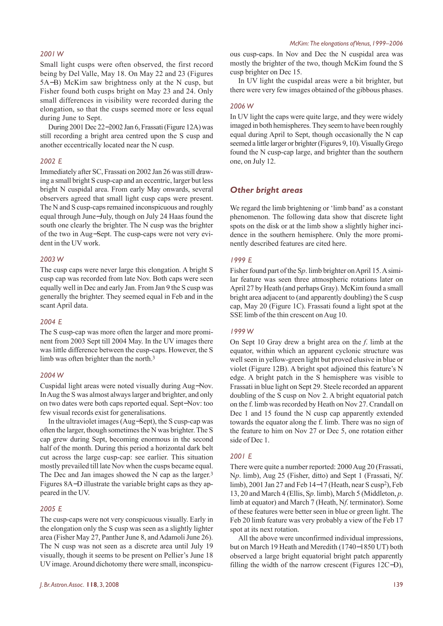#### *2001 W*

Small light cusps were often observed, the first record being by Del Valle, May 18. On May 22 and 23 (Figures 5A−B) McKim saw brightness only at the N cusp, but Fisher found both cusps bright on May 23 and 24. Only small differences in visibility were recorded during the elongation, so that the cusps seemed more or less equal during June to Sept.

During 2001 Dec 22−2002 Jan 6, Frassati (Figure 12A) was still recording a bright area centred upon the S cusp and another eccentrically located near the N cusp.

#### *2002 E*

Immediately after SC, Frassati on 2002 Jan 26 was still drawing a small bright S cusp-cap and an eccentric, larger but less bright N cuspidal area. From early May onwards, several observers agreed that small light cusp caps were present. The N and S cusp-caps remained inconspicuous and roughly equal through June−July, though on July 24 Haas found the south one clearly the brighter. The N cusp was the brighter of the two in Aug−Sept. The cusp-caps were not very evident in the UV work.

#### *2003 W*

The cusp caps were never large this elongation. A bright S cusp cap was recorded from late Nov. Both caps were seen equally well in Dec and early Jan. From Jan 9 the S cusp was generally the brighter. They seemed equal in Feb and in the scant April data.

#### *2004 E*

The S cusp-cap was more often the larger and more prominent from 2003 Sept till 2004 May. In the UV images there was little difference between the cusp-caps. However, the S limb was often brighter than the north.<sup>3</sup>

#### *2004 W*

Cuspidal light areas were noted visually during Aug−Nov. In Aug the S was almost always larger and brighter, and only on two dates were both caps reported equal. Sept−Nov: too few visual records exist for generalisations.

In the ultraviolet images (Aug−Sept), the S cusp-cap was often the larger, though sometimes the N was brighter. The S cap grew during Sept, becoming enormous in the second half of the month. During this period a horizontal dark belt cut across the large cusp-cap: see earlier. This situation mostly prevailed till late Nov when the cusps became equal. The Dec and Jan images showed the N cap as the larger.<sup>3</sup> Figures 8A−D illustrate the variable bright caps as they appeared in the UV.

#### *2005 E*

The cusp-caps were not very conspicuous visually. Early in the elongation only the S cusp was seen as a slightly lighter area (Fisher May 27, Panther June 8, and Adamoli June 26). The N cusp was not seen as a discrete area until July 19 visually, though it seems to be present on Pellier's June 18 UV image. Around dichotomy there were small, inconspicu-

ous cusp-caps. In Nov and Dec the N cuspidal area was mostly the brighter of the two, though McKim found the S cusp brighter on Dec 15.

In UV light the cuspidal areas were a bit brighter, but there were very few images obtained of the gibbous phases.

#### *2006 W*

In UV light the caps were quite large, and they were widely imaged in both hemispheres. They seem to have been roughly equal during April to Sept, though occasionally the N cap seemed a little larger or brighter (Figures 9, 10). Visually Grego found the N cusp-cap large, and brighter than the southern one, on July 12.

#### *Other bright areas*

We regard the limb brightening or 'limb band' as a constant phenomenon. The following data show that discrete light spots on the disk or at the limb show a slightly higher incidence in the southern hemisphere. Only the more prominently described features are cited here.

#### *1999 E*

Fisher found part of the S*p*. limb brighter on April 15. A similar feature was seen three atmospheric rotations later on April 27 by Heath (and perhaps Gray). McKim found a small bright area adjacent to (and apparently doubling) the S cusp cap, May 20 (Figure 1C). Frassati found a light spot at the SSE limb of the thin crescent on Aug 10.

#### *1999 W*

On Sept 10 Gray drew a bright area on the *f*. limb at the equator, within which an apparent cyclonic structure was well seen in yellow-green light but proved elusive in blue or violet (Figure 12B). A bright spot adjoined this feature's N edge. A bright patch in the S hemisphere was visible to Frassati in blue light on Sept 29. Steele recorded an apparent doubling of the S cusp on Nov 2. A bright equatorial patch on the f. limb was recorded by Heath on Nov 27. Crandall on Dec 1 and 15 found the N cusp cap apparently extended towards the equator along the f. limb. There was no sign of the feature to him on Nov 27 or Dec 5, one rotation either side of Dec 1.

#### *2001 E*

There were quite a number reported: 2000 Aug 20 (Frassati, N*p*. limb), Aug 25 (Fisher, ditto) and Sept 1 (Frassati, N*f*. limb), 2001 Jan 27 and Feb 14−17 (Heath, near S cusp2), Feb 13, 20 and March 4 (Ellis, S*p*. limb), March 5 (Middleton, *p*. limb at equator) and March 7 (Heath, N*f*. terminator). Some of these features were better seen in blue or green light. The Feb 20 limb feature was very probably a view of the Feb 17 spot at its next rotation.

All the above were unconfirmed individual impressions, but on March 19 Heath and Meredith (1740−1850 UT) both observed a large bright equatorial bright patch apparently filling the width of the narrow crescent (Figures 12C−D),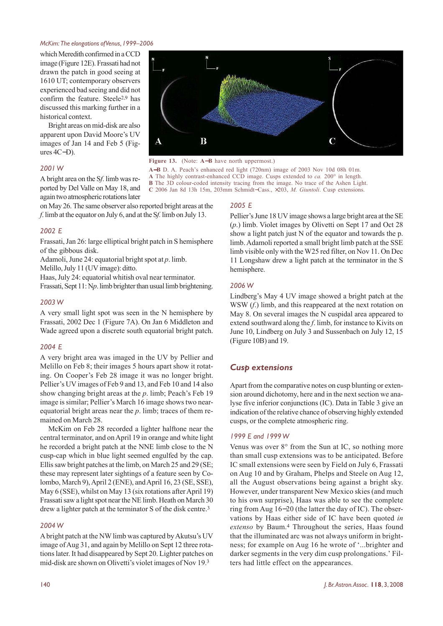which Meredith confirmed in a CCD image (Figure 12E). Frassati had not drawn the patch in good seeing at 1610 UT; contemporary observers experienced bad seeing and did not confirm the feature. Steele2,9 has discussed this marking further in a historical context.

Bright areas on mid-disk are also apparent upon David Moore's UV images of Jan 14 and Feb 5 (Figures 4C−D).

#### *2001 W*

A bright area on the S*f*. limb was reported by Del Valle on May 18, and again two atmospheric rotations later

on May 26. The same observer also reported bright areas at the *f*. limb at the equator on July 6, and at the S*f.* limb on July 13.

#### *2002 E*

Frassati, Jan 26: large elliptical bright patch in S hemisphere of the gibbous disk.

Adamoli, June 24: equatorial bright spot at *p*. limb.

Melillo, July 11 (UV image): ditto.

Haas, July 24: equatorial whitish oval near terminator.

Frassati, Sept 11: N*p*. limb brighter than usual limb brightening.

#### *2003 W*

A very small light spot was seen in the N hemisphere by Frassati, 2002 Dec 1 (Figure 7A). On Jan 6 Middleton and Wade agreed upon a discrete south equatorial bright patch.

#### *2004 E*

A very bright area was imaged in the UV by Pellier and Melillo on Feb 8; their images 5 hours apart show it rotating. On Cooper's Feb 28 image it was no longer bright. Pellier's UV images of Feb 9 and 13, and Feb 10 and 14 also show changing bright areas at the *p*. limb; Peach's Feb 19 image is similar; Pellier's March 16 image shows two nearequatorial bright areas near the *p*. limb; traces of them remained on March 28.

McKim on Feb 28 recorded a lighter halftone near the central terminator, and on April 19 in orange and white light he recorded a bright patch at the NNE limb close to the N cusp-cap which in blue light seemed engulfed by the cap. Ellis saw bright patches at the limb, on March 25 and 29 (SE; these may represent later sightings of a feature seen by Colombo, March 9), April 2 (ENE), and April 16, 23 (SE, SSE), May 6 (SSE), whilst on May 13 (six rotations after April 19) Frassati saw a light spot near the NE limb. Heath on March 30 drew a lighter patch at the terminator S of the disk centre.<sup>3</sup>

#### *2004 W*

A bright patch at the NW limb was captured by Akutsu's UV image of Aug 31, and again by Melillo on Sept 12 three rotations later. It had disappeared by Sept 20. Lighter patches on mid-disk are shown on Olivetti's violet images of Nov 19.3



**Figure 13.** (Note: **A**−**B** have north uppermost.)

**A**−**B** D. A. Peach's enhanced red light (720nm) image of 2003 Nov 10d 08h 01m. **A** The highly contrast-enhanced CCD image. Cusps extended to *ca.* 200° in length. **B** The 3D colour-coded intensity tracing from the image. No trace of the Ashen Light. **C** 2006 Jan 8d 13h 15m, 203mm Schmidt−Cass., ×203, *M. Giuntoli*. Cusp extensions.

#### *2005 E*

Pellier's June 18 UV image shows a large bright area at the SE (*p*.) limb. Violet images by Olivetti on Sept 17 and Oct 28 show a light patch just N of the equator and towards the p. limb. Adamoli reported a small bright limb patch at the SSE limb visible only with the W25 red filter, on Nov 11. On Dec 11 Longshaw drew a light patch at the terminator in the S hemisphere.

#### *2006 W*

Lindberg's May 4 UV image showed a bright patch at the WSW (*f*.) limb, and this reappeared at the next rotation on May 8. On several images the N cuspidal area appeared to extend southward along the *f*. limb, for instance to Kivits on June 10, Lindberg on July 3 and Sussenbach on July 12, 15 (Figure 10B) and 19.

#### *Cusp extensions*

Apart from the comparative notes on cusp blunting or extension around dichotomy, here and in the next section we analyse five inferior conjunctions (IC). Data in Table 3 give an indication of the relative chance of observing highly extended cusps, or the complete atmospheric ring.

#### *1999 E and 1999 W*

Venus was over 8° from the Sun at IC, so nothing more than small cusp extensions was to be anticipated. Before IC small extensions were seen by Field on July 6, Frassati on Aug 10 and by Graham, Phelps and Steele on Aug 12, all the August observations being against a bright sky. However, under transparent New Mexico skies (and much to his own surprise), Haas was able to see the complete ring from Aug 16−20 (the latter the day of IC). The observations by Haas either side of IC have been quoted *in extenso* by Baum.4 Throughout the series, Haas found that the illuminated arc was not always uniform in brightness; for example on Aug 16 he wrote of '...brighter and darker segments in the very dim cusp prolongations.' Filters had little effect on the appearances.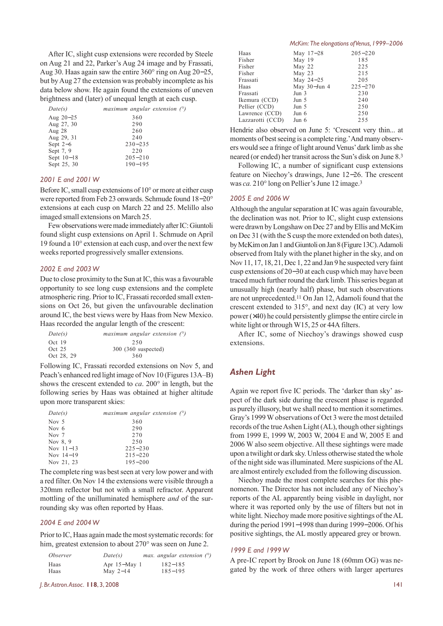After IC, slight cusp extensions were recorded by Steele on Aug 21 and 22, Parker's Aug 24 image and by Frassati, Aug 30. Haas again saw the entire 360° ring on Aug 20−25, but by Aug 27 the extension was probably incomplete as his data below show. He again found the extensions of uneven brightness and (later) of unequal length at each cusp.

| Date(s)      | maximum angular extension $(°)$ |
|--------------|---------------------------------|
| Aug $20-25$  | 360                             |
| Aug 27, 30   | 290                             |
| Aug 28       | 260                             |
| Aug 29, 31   | 240                             |
| Sept $2-6$   | $230 - 235$                     |
| Sept 7, 9    | 220                             |
| Sept $10-18$ | $205 - 210$                     |
| Sept 25, 30  | $190 - 195$                     |

#### *2001 E and 2001 W*

Before IC, small cusp extensions of 10° or more at either cusp were reported from Feb 23 onwards. Schmude found 18−20° extensions at each cusp on March 22 and 25. Melillo also imaged small extensions on March 25.

Few observations were made immediately after IC: Giuntoli found slight cusp extensions on April 1. Schmude on April 19 found a 10° extension at each cusp, and over the next few weeks reported progressively smaller extensions.

#### *2002 E and 2003 W*

Due to close proximity to the Sun at IC, this was a favourable opportunity to see long cusp extensions and the complete atmospheric ring. Prior to IC, Frassati recorded small extensions on Oct 26, but given the unfavourable declination around IC, the best views were by Haas from New Mexico. Haas recorded the angular length of the crescent:

| Date(s)    | maximum angular extension $(°)$ |
|------------|---------------------------------|
| Oct $19$   | 250                             |
| Oct $25$   | 300 (360 suspected)             |
| Oct 28, 29 | 360                             |

Following IC, Frassati recorded extensions on Nov 5, and Peach's enhanced red light image of Nov 10 (Figures 13A–B) shows the crescent extended to *ca*. 200° in length, but the following series by Haas was obtained at higher altitude upon more transparent skies:

| Date(s)     | maximum angular extension $(°)$ |
|-------------|---------------------------------|
| Nov 5       | 360                             |
| Nov $6$     | 290                             |
| Nov 7       | 270                             |
| Nov 8, 9    | 250                             |
| Nov $11-13$ | $225 - 230$                     |
| Nov $14-19$ | $215 - 220$                     |
| Nov 21, 23  | $195 - 200$                     |

The complete ring was best seen at very low power and with a red filter. On Nov 14 the extensions were visible through a 320mm reflector but not with a small refractor. Apparent mottling of the unilluminated hemisphere *and* of the surrounding sky was often reported by Haas.

#### *2004 E and 2004 W*

Prior to IC, Haas again made the most systematic records: for him, greatest extension to about 270° was seen on June 2.

| <i>Observer</i> | Date(s)        |             | max. angular extension $(°)$ |  |
|-----------------|----------------|-------------|------------------------------|--|
| Haas            | Apr $15-May$ 1 | $182 - 185$ |                              |  |
| Haas            | May $2-14$     | $185 - 195$ |                              |  |

*J. Br. Astron. Assoc.* **118**, 3, 2008 141

|                  | McKim: The elongations of Venus, 1999-2006 |             |  |
|------------------|--------------------------------------------|-------------|--|
| Haas             | May 17-28                                  | $205 - 220$ |  |
| Fisher           | May 19                                     | 185         |  |
| Fisher           | May $22$                                   | 225         |  |
| Fisher           | May 23                                     | 215         |  |
| Frassati         | May 24-25                                  | 205         |  |
| Haas             | May $30$ -Jun 4                            | $225 - 270$ |  |
| Frassati         | Jun 3                                      | 230         |  |
| Ikemura (CCD)    | Jun 5                                      | 240         |  |
| Pellier (CCD)    | Jun 5                                      | 250         |  |
| Lawrence (CCD)   | Jun $6$                                    | 250         |  |
| Lazzarotti (CCD) | Jun 6                                      | 255         |  |

Hendrie also observed on June 5: 'Crescent very thin... at moments of best seeing is a complete ring.' And many observers would see a fringe of light around Venus' dark limb as she neared (or ended) her transit across the Sun's disk on June 8.3

Following IC, a number of significant cusp extensions feature on Niechoy's drawings, June 12−26. The crescent was *ca.* 210° long on Pellier's June 12 image.3

#### *2005 E and 2006 W*

Although the angular separation at IC was again favourable, the declination was not. Prior to IC, slight cusp extensions were drawn by Longshaw on Dec 27 and by Ellis and McKim on Dec 31 (with the S cusp the more extended on both dates), by McKim on Jan 1 and Giuntoli on Jan 8 (Figure 13C). Adamoli observed from Italy with the planet higher in the sky, and on Nov 11, 17, 18, 21, Dec 1, 22 and Jan 9 he suspected very faint cusp extensions of 20−30 at each cusp which may have been traced much further round the dark limb. This series began at unusually high (nearly half) phase, but such observations are not unprecedented.11 On Jan 12, Adamoli found that the crescent extended to 315°, and next day (IC) at very low power (×40) he could persistently glimpse the entire circle in white light or through W15, 25 or 44A filters.

After IC, some of Niechoy's drawings showed cusp extensions.

#### *Ashen Light*

Again we report five IC periods. The 'darker than sky' aspect of the dark side during the crescent phase is regarded as purely illusory, but we shall need to mention it sometimes. Gray's 1999 W observations of Oct 3 were the most detailed records of the true Ashen Light (AL), though other sightings from 1999 E, 1999 W, 2003 W, 2004 E and W, 2005 E and 2006 W also seem objective. All these sightings were made upon a twilight or dark sky. Unless otherwise stated the whole of the night side was illuminated. Mere suspicions of the AL are almost entirely excluded from the following discussion.

Niechoy made the most complete searches for this phenomenon. The Director has not included any of Niechoy's reports of the AL apparently being visible in daylight, nor where it was reported only by the use of filters but not in white light. Niechoy made more positive sightings of the AL during the period 1991−1998 than during 1999−2006. Of his positive sightings, the AL mostly appeared grey or brown.

#### *1999 E and 1999 W*

A pre-IC report by Brook on June 18 (60mm OG) was negated by the work of three others with larger apertures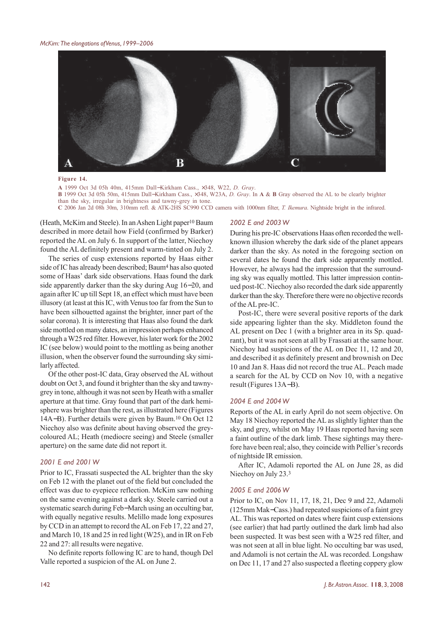

**Figure 14.**

**A** 1999 Oct 3d 05h 40m, 415mm Dall−Kirkham Cass., ×348, W22, *D. Gray*. **B** 1999 Oct 3d 05h 50m, 415mm Dall−Kirkham Cass., ×348, W23A, *D. Gray*. In **A** & **B** Gray observed the AL to be clearly brighter than the sky, irregular in brightness and tawny-grey in tone. **C** 2006 Jan 2d 08h 30m, 310mm refl. & ATK-2HS SC990 CCD camera with 1000nm filter, *T. Ikemura*. Nightside bright in the infrared.

(Heath, McKim and Steele). In an Ashen Light paper10 Baum described in more detail how Field (confirmed by Barker) reported the AL on July 6. In support of the latter, Niechoy found the AL definitely present and warm-tinted on July 2.

The series of cusp extensions reported by Haas either side of IC has already been described; Baum4 has also quoted some of Haas' dark side observations. Haas found the dark side apparently darker than the sky during Aug 16−20, and again after IC up till Sept 18, an effect which must have been illusory (at least at this IC, with Venus too far from the Sun to have been silhouetted against the brighter, inner part of the solar corona). It is interesting that Haas also found the dark side mottled on many dates, an impression perhaps enhanced through a W25 red filter. However, his later work for the 2002 IC (see below) would point to the mottling as being another illusion, when the observer found the surrounding sky similarly affected.

Of the other post-IC data, Gray observed the AL without doubt on Oct 3, and found it brighter than the sky and tawnygrey in tone, although it was not seen by Heath with a smaller aperture at that time. Gray found that part of the dark hemisphere was brighter than the rest, as illustrated here (Figures 14A−B). Further details were given by Baum.10 On Oct 12 Niechoy also was definite about having observed the greycoloured AL; Heath (mediocre seeing) and Steele (smaller aperture) on the same date did not report it.

#### *2001 E and 2001 W*

Prior to IC, Frassati suspected the AL brighter than the sky on Feb 12 with the planet out of the field but concluded the effect was due to eyepiece reflection. McKim saw nothing on the same evening against a dark sky. Steele carried out a systematic search during Feb−March using an occulting bar, with equally negative results. Melillo made long exposures by CCD in an attempt to record the AL on Feb 17, 22 and 27, and March 10, 18 and 25 in red light (W25), and in IR on Feb 22 and 27: all results were negative.

No definite reports following IC are to hand, though Del Valle reported a suspicion of the AL on June 2.

#### *2002 E and 2003 W*

During his pre-IC observations Haas often recorded the wellknown illusion whereby the dark side of the planet appears darker than the sky. As noted in the foregoing section on several dates he found the dark side apparently mottled. However, he always had the impression that the surrounding sky was equally mottled. This latter impression continued post-IC. Niechoy also recorded the dark side apparently darker than the sky. Therefore there were no objective records of the AL pre-IC.

Post-IC, there were several positive reports of the dark side appearing lighter than the sky. Middleton found the AL present on Dec 1 (with a brighter area in its Sp. quadrant), but it was not seen at all by Frassati at the same hour. Niechoy had suspicions of the AL on Dec 11, 12 and 20, and described it as definitely present and brownish on Dec 10 and Jan 8. Haas did not record the true AL. Peach made a search for the AL by CCD on Nov 10, with a negative result (Figures 13A−B).

#### *2004 E and 2004 W*

Reports of the AL in early April do not seem objective. On May 18 Niechoy reported the AL as slightly lighter than the sky, and grey, whilst on May 19 Haas reported having seen a faint outline of the dark limb. These sightings may therefore have been real; also, they coincide with Pellier's records of nightside IR emission.

After IC, Adamoli reported the AL on June 28, as did Niechoy on July 23.3

#### *2005 E and 2006 W*

Prior to IC, on Nov 11, 17, 18, 21, Dec 9 and 22, Adamoli (125mm Mak−Cass.) had repeated suspicions of a faint grey AL. This was reported on dates where faint cusp extensions (see earlier) that had partly outlined the dark limb had also been suspected. It was best seen with a W25 red filter, and was not seen at all in blue light. No occulting bar was used, and Adamoli is not certain the AL was recorded. Longshaw on Dec 11, 17 and 27 also suspected a fleeting coppery glow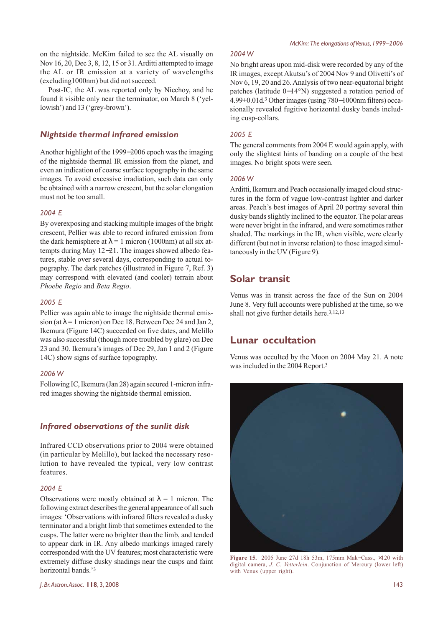on the nightside. McKim failed to see the AL visually on Nov 16, 20, Dec 3, 8, 12, 15 or 31. Arditti attempted to image the AL or IR emission at a variety of wavelengths (excluding1000nm) but did not succeed.

Post-IC, the AL was reported only by Niechoy, and he found it visible only near the terminator, on March 8 ('yellowish') and 13 ('grey-brown').

### *Nightside thermal infrared emission*

Another highlight of the 1999−2006 epoch was the imaging of the nightside thermal IR emission from the planet, and even an indication of coarse surface topography in the same images. To avoid excessive irradiation, such data can only be obtained with a narrow crescent, but the solar elongation must not be too small.

#### *2004 E*

By overexposing and stacking multiple images of the bright crescent, Pellier was able to record infrared emission from the dark hemisphere at  $\lambda = 1$  micron (1000nm) at all six attempts during May 12−21. The images showed albedo features, stable over several days, corresponding to actual topography. The dark patches (illustrated in Figure 7, Ref. 3) may correspond with elevated (and cooler) terrain about *Phoebe Regio* and *Beta Regio*.

#### *2005 E*

Pellier was again able to image the nightside thermal emission (at  $\lambda$  = 1 micron) on Dec 18. Between Dec 24 and Jan 2, Ikemura (Figure 14C) succeeded on five dates, and Melillo was also successful (though more troubled by glare) on Dec 23 and 30. Ikemura's images of Dec 29, Jan 1 and 2 (Figure 14C) show signs of surface topography.

#### *2006 W*

Following IC, Ikemura (Jan 28) again secured 1-micron infrared images showing the nightside thermal emission.

### *Infrared observations of the sunlit disk*

Infrared CCD observations prior to 2004 were obtained (in particular by Melillo), but lacked the necessary resolution to have revealed the typical, very low contrast features.

#### *2004 E*

Observations were mostly obtained at  $\lambda = 1$  micron. The following extract describes the general appearance of all such images: 'Observations with infrared filters revealed a dusky terminator and a bright limb that sometimes extended to the cusps. The latter were no brighter than the limb, and tended to appear dark in IR. Any albedo markings imaged rarely corresponded with the UV features; most characteristic were extremely diffuse dusky shadings near the cusps and faint horizontal bands.'3

#### *2004 W*

No bright areas upon mid-disk were recorded by any of the IR images, except Akutsu's of 2004 Nov 9 and Olivetti's of Nov 6, 19, 20 and 26. Analysis of two near-equatorial bright patches (latitude 0−14°N) suggested a rotation period of 4.99±0.01d.3 Other images (using 780−1000nm filters) occasionally revealed fugitive horizontal dusky bands including cusp-collars.

#### *2005 E*

The general comments from 2004 E would again apply, with only the slightest hints of banding on a couple of the best images. No bright spots were seen.

#### *2006 W*

Arditti, Ikemura and Peach occasionally imaged cloud structures in the form of vague low-contrast lighter and darker areas. Peach's best images of April 20 portray several thin dusky bands slightly inclined to the equator. The polar areas were never bright in the infrared, and were sometimes rather shaded. The markings in the IR, when visible, were clearly different (but not in inverse relation) to those imaged simultaneously in the UV (Figure 9).

### **Solar transit**

Venus was in transit across the face of the Sun on 2004 June 8. Very full accounts were published at the time, so we shall not give further details here.<sup>3,12,13</sup>

### **Lunar occultation**

Venus was occulted by the Moon on 2004 May 21. A note was included in the 2004 Report.3



**Figure 15.** 2005 June 27d 18h 53m, 175mm Mak−Cass., ×120 with digital camera, *J. C. Vetterlein*. Conjunction of Mercury (lower left) with Venus (upper right).